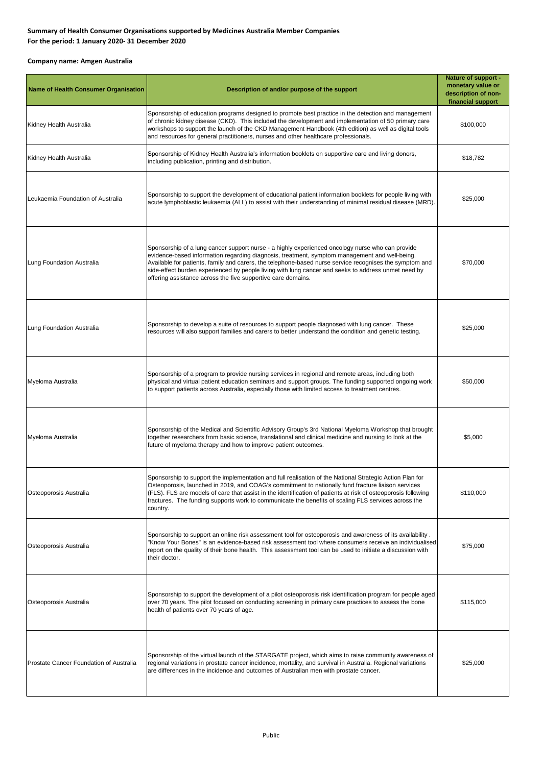## **Summary of Health Consumer Organisations supported by Medicines Australia Member Companies For the period: 1 January 2020- 31 December 2020**

## **Company name: Amgen Australia**

| <b>Name of Health Consumer Organisation</b> | Description of and/or purpose of the support                                                                                                                                                                                                                                                                                                                                                                                                                                        | <b>Nature of support -</b><br>monetary value or<br>description of non-<br>financial support |
|---------------------------------------------|-------------------------------------------------------------------------------------------------------------------------------------------------------------------------------------------------------------------------------------------------------------------------------------------------------------------------------------------------------------------------------------------------------------------------------------------------------------------------------------|---------------------------------------------------------------------------------------------|
| Kidney Health Australia                     | Sponsorship of education programs designed to promote best practice in the detection and management<br>of chronic kidney disease (CKD). This included the development and implementation of 50 primary care<br>workshops to support the launch of the CKD Management Handbook (4th edition) as well as digital tools<br>and resources for general practitioners, nurses and other healthcare professionals.                                                                         | \$100,000                                                                                   |
| Kidney Health Australia                     | Sponsorship of Kidney Health Australia's information booklets on supportive care and living donors,<br>including publication, printing and distribution.                                                                                                                                                                                                                                                                                                                            | \$18,782                                                                                    |
| Leukaemia Foundation of Australia           | Sponsorship to support the development of educational patient information booklets for people living with<br>acute lymphoblastic leukaemia (ALL) to assist with their understanding of minimal residual disease (MRD).                                                                                                                                                                                                                                                              | \$25,000                                                                                    |
| Lung Foundation Australia                   | Sponsorship of a lung cancer support nurse - a highly experienced oncology nurse who can provide<br>evidence-based information regarding diagnosis, treatment, symptom management and well-being.<br>Available for patients, family and carers, the telephone-based nurse service recognises the symptom and<br>side-effect burden experienced by people living with lung cancer and seeks to address unmet need by<br>offering assistance across the five supportive care domains. | \$70,000                                                                                    |
| Lung Foundation Australia                   | Sponsorship to develop a suite of resources to support people diagnosed with lung cancer. These<br>resources will also support families and carers to better understand the condition and genetic testing.                                                                                                                                                                                                                                                                          | \$25,000                                                                                    |
| Myeloma Australia                           | Sponsorship of a program to provide nursing services in regional and remote areas, including both<br>physical and virtual patient education seminars and support groups. The funding supported ongoing work<br>to support patients across Australia, especially those with limited access to treatment centres.                                                                                                                                                                     | \$50,000                                                                                    |
| Myeloma Australia                           | Sponsorship of the Medical and Scientific Advisory Group's 3rd National Myeloma Workshop that brought<br>together researchers from basic science, translational and clinical medicine and nursing to look at the<br>future of myeloma therapy and how to improve patient outcomes.                                                                                                                                                                                                  | \$5,000                                                                                     |
| Osteoporosis Australia                      | Sponsorship to support the implementation and full realisation of the National Strategic Action Plan for<br>Osteoporosis, launched in 2019, and COAG's commitment to nationally fund fracture liaison services<br>(FLS). FLS are models of care that assist in the identification of patients at risk of osteoporosis following<br>fractures. The funding supports work to communicate the benefits of scaling FLS services across the<br>country.                                  | \$110.000                                                                                   |
| Osteoporosis Australia                      | Sponsorship to support an online risk assessment tool for osteoporosis and awareness of its availability.<br>"Know Your Bones" is an evidence-based risk assessment tool where consumers receive an individualised<br>report on the quality of their bone health. This assessment tool can be used to initiate a discussion with<br>their doctor.                                                                                                                                   | \$75,000                                                                                    |
| Osteoporosis Australia                      | Sponsorship to support the development of a pilot osteoporosis risk identification program for people aged<br>over 70 years. The pilot focused on conducting screening in primary care practices to assess the bone<br>health of patients over 70 years of age.                                                                                                                                                                                                                     | \$115,000                                                                                   |
| Prostate Cancer Foundation of Australia     | Sponsorship of the virtual launch of the STARGATE project, which aims to raise community awareness of<br>regional variations in prostate cancer incidence, mortality, and survival in Australia. Regional variations<br>are differences in the incidence and outcomes of Australian men with prostate cancer.                                                                                                                                                                       | \$25,000                                                                                    |